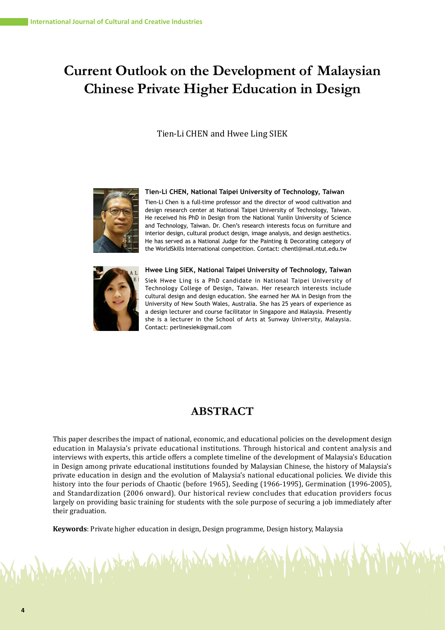# **Current Outlook on the Development of Malaysian Chinese Private Higher Education in Design**

### Tien-Li CHEN and Hwee Ling SIEK



#### **Tien-Li CHEN, National Taipei University of Technology, Taiwan**

Tien-Li Chen is a full-time professor and the director of wood cultivation and design research center at National Taipei University of Technology, Taiwan. He received his PhD in Design from the National Yunlin University of Science and Technology, Taiwan. Dr. Chen's research interests focus on furniture and interior design, cultural product design, image analysis, and design aesthetics. He has served as a National Judge for the Painting & Decorating category of the WorldSkills International competition. Contact: chentl@mail.ntut.edu.tw



No Charles Comp

Siek Hwee Ling is a PhD candidate in National Taipei University of Technology College of Design, Taiwan. Her research interests include cultural design and design education. She earned her MA in Design from the University of New South Wales, Australia. She has 25 years of experience as a design lecturer and course facilitator in Singapore and Malaysia. Presently she is a lecturer in the School of Arts at Sunway University, Malaysia. Contact: perlinesiek@gmail.com

**Hwee Ling SIEK, National Taipei University of Technology, Taiwan**

## **ABSTRACT**

This paper describes the impact of national, economic, and educational policies on the development design education in Malaysia's private educational institutions. Through historical and content analysis and interviews with experts, this article offers a complete timeline of the development of Malaysia's Education in Design among private educational institutions founded by Malaysian Chinese, the history of Malaysia's private education in design and the evolution of Malaysia's national educational policies. We divide this history into the four periods of Chaotic (before 1965), Seeding (1966-1995), Germination (1996-2005), and Standardization (2006 onward). Our historical review concludes that education providers focus largely on providing basic training for students with the sole purpose of securing a job immediately after their graduation.

**Keywords**: Private higher education in design, Design programme, Design history, Malaysia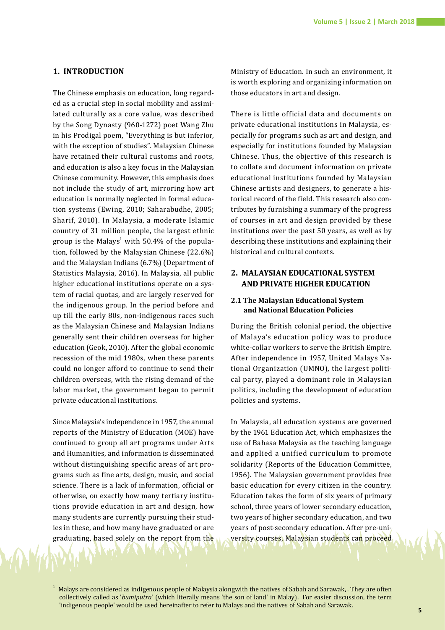### **1. INTRODUCTION**

The Chinese emphasis on education, long regarded as a crucial step in social mobility and assimilated culturally as a core value, was described by the Song Dynasty (960-1272) poet Wang Zhu in his Prodigal poem, "Everything is but inferior, with the exception of studies". Malaysian Chinese have retained their cultural customs and roots, and education is also a key focus in the Malaysian Chinese community. However, this emphasis does not include the study of art, mirroring how art education is normally neglected in formal education systems (Ewing, 2010; Saharabudhe, 2005; Sharif, 2010). In Malaysia, a moderate Islamic country of 31 million people, the largest ethnic group is the Malays<sup>1</sup> with  $50.4\%$  of the population, followed by the Malaysian Chinese (22.6%) and the Malaysian Indians (6.7%) (Department of Statistics Malaysia, 2016). In Malaysia, all public higher educational institutions operate on a system of racial quotas, and are largely reserved for the indigenous group. In the period before and up till the early 80s, non-indigenous races such as the Malaysian Chinese and Malaysian Indians generally sent their children overseas for higher education (Geok, 2010). After the global economic recession of the mid 1980s, when these parents could no longer afford to continue to send their children overseas, with the rising demand of the labor market, the government began to permit private educational institutions.

Since Malaysia's independence in 1957, the annual reports of the Ministry of Education (MOE) have continued to group all art programs under Arts and Humanities, and information is disseminated without distinguishing specific areas of art programs such as fine arts, design, music, and social science. There is a lack of information, official or otherwise, on exactly how many tertiary institutions provide education in art and design, how many students are currently pursuing their studies in these, and how many have graduated or are graduating, based solely on the report from the Ministry of Education. In such an environment, it is worth exploring and organizing information on those educators in art and design.

There is little official data and documents on private educational institutions in Malaysia, especially for programs such as art and design, and especially for institutions founded by Malaysian Chinese. Thus, the objective of this research is to collate and document information on private educational institutions founded by Malaysian Chinese artists and designers, to generate a historical record of the field. This research also contributes by furnishing a summary of the progress of courses in art and design provided by these institutions over the past 50 years, as well as by describing these institutions and explaining their historical and cultural contexts.

### **2. MALAYSIAN EDUCATIONAL SYSTEM AND PRIVATE HIGHER EDUCATION**

### **2.1 The Malaysian Educational System and National Education Policies**

During the British colonial period, the objective of Malaya's education policy was to produce white-collar workers to serve the British Empire. After independence in 1957, United Malays National Organization (UMNO), the largest political party, played a dominant role in Malaysian politics, including the development of education policies and systems.

In Malaysia, all education systems are governed by the 1961 Education Act, which emphasizes the use of Bahasa Malaysia as the teaching language and applied a unified curriculum to promote solidarity (Reports of the Education Committee, 1956). The Malaysian government provides free basic education for every citizen in the country. Education takes the form of six years of primary school, three years of lower secondary education, two years of higher secondary education, and two years of post-secondary education. After pre-university courses, Malaysian students can proceed

 $1$  Malays are considered as indigenous people of Malaysia alongwith the natives of Sabah and Sarawak, . They are often collectively called as '*bumiputra*' (which literally means 'the son of land' in Malay). For easier discussion, the term 'indigenous people' would be used hereinafter to refer to Malays and the natives of Sabah and Sarawak.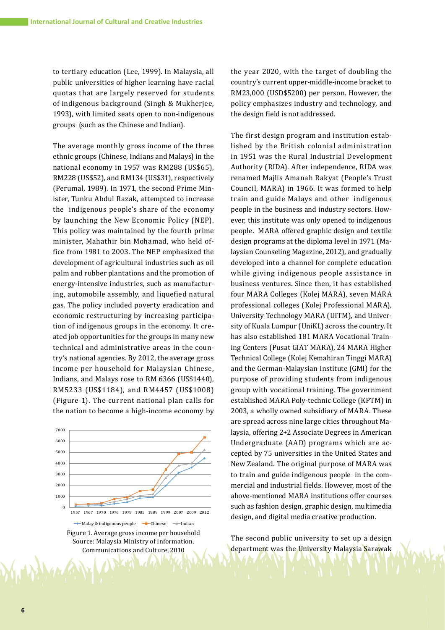to tertiary education (Lee, 1999). In Malaysia, all public universities of higher learning have racial quotas that are largely reserved for students of indigenous background (Singh & Mukherjee, 1993), with limited seats open to non-indigenous groups (such as the Chinese and Indian).

The average monthly gross income of the three ethnic groups (Chinese, Indians and Malays) in the national economy in 1957 was RM288 (US\$65), RM228 (US\$52), and RM134 (US\$31), respectively (Perumal, 1989). In 1971, the second Prime Minister, Tunku Abdul Razak, attempted to increase the indigenous people's share of the economy by launching the New Economic Policy (NEP). This policy was maintained by the fourth prime minister, Mahathir bin Mohamad, who held office from 1981 to 2003. The NEP emphasized the development of agricultural industries such as oil palm and rubber plantations and the promotion of energy-intensive industries, such as manufacturing, automobile assembly, and liquefied natural gas. The policy included poverty eradication and economic restructuring by increasing participation of indigenous groups in the economy. It created job opportunities for the groups in many new technical and administrative areas in the country's national agencies. By 2012, the average gross income per household for Malaysian Chinese, Indians, and Malays rose to RM 6366 (US\$1440), RM5233 (US\$1184), and RM4457 (US\$1008) (Figure 1). The current national plan calls for the nation to become a high-income economy by



Source: Malaysia Ministry of Information, Communications and Culture, 2010

the year 2020, with the target of doubling the country's current upper-middle-income bracket to RM23,000 (USD\$5200) per person. However, the policy emphasizes industry and technology, and the design field is not addressed.

The first design program and institution established by the British colonial administration in 1951 was the Rural Industrial Development Authority (RIDA). After independence, RIDA was renamed Majlis Amanah Rakyat (People's Trust Council, MARA) in 1966. It was formed to help train and guide Malays and other indigenous people in the business and industry sectors. However, this institute was only opened to indigenous people. MARA offered graphic design and textile design programs at the diploma level in 1971 (Malaysian Counseling Magazine, 2012), and gradually developed into a channel for complete education while giving indigenous people assistance in business ventures. Since then, it has established four MARA Colleges (Kolej MARA), seven MARA professional colleges (Kolej Professional MARA), University Technology MARA (UITM), and University of Kuala Lumpur (UniKL) across the country. It has also established 181 MARA Vocational Training Centers (Pusat GIAT MARA), 24 MARA Higher Technical College (Kolej Kemahiran Tinggi MARA) and the German-Malaysian Institute (GMI) for the purpose of providing students from indigenous group with vocational training. The government established MARA Poly-technic College (KPTM) in 2003, a wholly owned subsidiary of MARA. These are spread across nine large cities throughout Malaysia, offering 2+2 Associate Degrees in American Undergraduate (AAD) programs which are accepted by 75 universities in the United States and New Zealand. The original purpose of MARA was to train and guide indigenous people in the commercial and industrial fields. However, most of the above-mentioned MARA institutions offer courses such as fashion design, graphic design, multimedia design, and digital media creative production.

The second public university to set up a design department was the University Malaysia Sarawak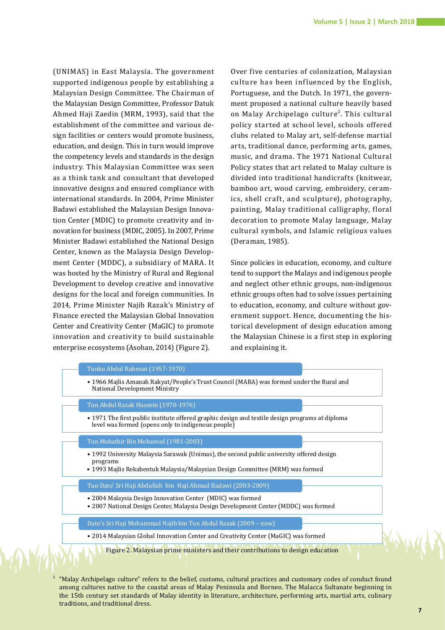(UNIMAS) in East Malaysia. The government supported indigenous people by establishing a Malaysian Design Committee. The Chairman of the Malaysian Design Committee, Professor Datuk Ahmed Haji Zaedin (MRM, 1993), said that the establishment of the committee and various design facilities or centers would promote business, education, and design. This in turn would improve the competency levels and standards in the design industry. This Malaysian Committee was seen as a think tank and consultant that developed innovative designs and ensured compliance with international standards. In 2004, Prime Minister Badawi established the Malaysian Design Innovation Center (MDIC) to promote creativity and innovation for business (MDIC, 2005). In 2007, Prime Minister Badawi established the National Design Center, known as the Malaysia Design Development Center (MDDC), a subsidiary of MARA. It was hosted by the Ministry of Rural and Regional Development to develop creative and innovative designs for the local and foreign communities. In 2014, Prime Minister Najib Razak's Ministry of Finance erected the Malaysian Global Innovation Center and Creativity Center (MaGIC) to promote innovation and creativity to build sustainable enterprise ecosystems (Asohan, 2014) (Figure 2).

Over five centuries of colonization, Malaysian culture has been influenced by the English, Portuguese, and the Dutch. In 1971, the government proposed a national culture heavily based on Malay Archipelago culture<sup>2</sup>. This cultural policy started at school level, schools offered clubs related to Malay art, self-defense martial arts, traditional dance, performing arts, games, music, and drama. The 1971 National Cultural Policy states that art related to Malay culture is divided into traditional handicrafts (knitwear, bamboo art, wood carving, embroidery, ceramics, shell craft, and sculpture), photography, painting, Malay traditional calligraphy, floral decoration to promote Malay language, Malay cultural symbols, and Islamic religious values (Deraman, 1985).

Since policies in education, economy, and culture tend to support the Malays and indigenous people and neglect other ethnic groups, non-indigenous ethnic groups often had to solve issues pertaining to education, economy, and culture without government support. Hence, documenting the historical development of design education among the Malaysian Chinese is a first step in exploring and explaining it.



2 "Malay Archipelago culture" refers to the belief, customs, cultural practices and customary codes of conduct found among cultures native to the coastal areas of Malay Peninsula and Borneo. The Malacca Sultanate beginning in the 15th century set standards of Malay identity in literature, architecture, performing arts, martial arts, culinary traditions, and traditional dress.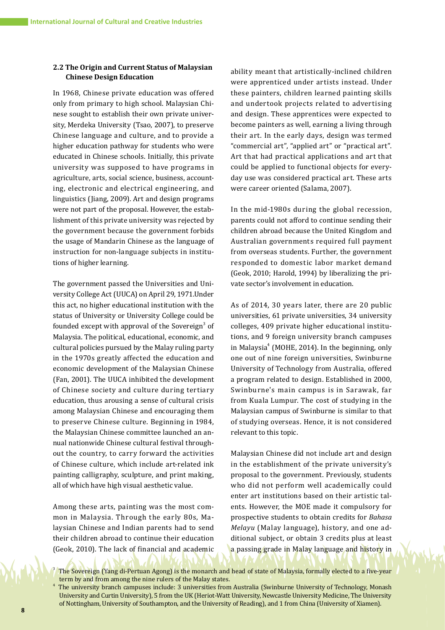### **2.2 The Origin and Current Status of Malaysian Chinese Design Education**

In 1968, Chinese private education was offered only from primary to high school. Malaysian Chinese sought to establish their own private university, Merdeka University (Tsao, 2007), to preserve Chinese language and culture, and to provide a higher education pathway for students who were educated in Chinese schools. Initially, this private university was supposed to have programs in agriculture, arts, social science, business, accounting, electronic and electrical engineering, and linguistics (Jiang, 2009). Art and design programs were not part of the proposal. However, the establishment of this private university was rejected by the government because the government forbids the usage of Mandarin Chinese as the language of instruction for non-language subjects in institutions of higher learning.

The government passed the Universities and University College Act (UUCA) on April 29, 1971.Under this act, no higher educational institution with the status of University or University College could be founded except with approval of the Sovereign<sup>3</sup> of Malaysia. The political, educational, economic, and cultural policies pursued by the Malay ruling party in the 1970s greatly affected the education and economic development of the Malaysian Chinese (Fan, 2001). The UUCA inhibited the development of Chinese society and culture during tertiary education, thus arousing a sense of cultural crisis among Malaysian Chinese and encouraging them to preserve Chinese culture. Beginning in 1984, the Malaysian Chinese committee launched an annual nationwide Chinese cultural festival throughout the country, to carry forward the activities of Chinese culture, which include art-related ink painting calligraphy, sculpture, and print making, all of which have high visual aesthetic value.

Among these arts, painting was the most common in Malaysia. Through the early 80s, Malaysian Chinese and Indian parents had to send their children abroad to continue their education (Geok, 2010). The lack of financial and academic

ability meant that artistically-inclined children were apprenticed under artists instead. Under these painters, children learned painting skills and undertook projects related to advertising and design. These apprentices were expected to become painters as well, earning a living through their art. In the early days, design was termed "commercial art", "applied art" or "practical art". Art that had practical applications and art that could be applied to functional objects for everyday use was considered practical art. These arts were career oriented (Salama, 2007).

In the mid-1980s during the global recession, parents could not afford to continue sending their children abroad because the United Kingdom and Australian governments required full payment from overseas students. Further, the government responded to domestic labor market demand (Geok, 2010; Harold, 1994) by liberalizing the private sector's involvement in education.

As of 2014, 30 years later, there are 20 public universities, 61 private universities, 34 university colleges, 409 private higher educational institutions, and 9 foreign university branch campuses in Malaysia<sup>4</sup> (MOHE, 2014). In the beginning, only one out of nine foreign universities, Swinburne University of Technology from Australia, offered a program related to design. Established in 2000, Swinburne's main campus is in Sarawak, far from Kuala Lumpur. The cost of studying in the Malaysian campus of Swinburne is similar to that of studying overseas. Hence, it is not considered relevant to this topic.

Malaysian Chinese did not include art and design in the establishment of the private university's proposal to the government. Previously, students who did not perform well academically could enter art institutions based on their artistic talents. However, the MOE made it compulsory for prospective students to obtain credits for *Bahasa Melayu* (Malay language), history, and one additional subject, or obtain 3 credits plus at least a passing grade in Malay language and history in

The Sovereign (Yang di-Pertuan Agong) is the monarch and head of state of Malaysia, formally elected to a five-year term by and from among the nine rulers of the Malay states.

The university branch campuses include: 3 universities from Australia (Swinburne University of Technology, Monash University and Curtin University), 5 from the UK (Heriot-Watt University, Newcastle University Medicine, The University of Nottingham, University of Southampton, and the University of Reading), and 1 from China (University of Xiamen).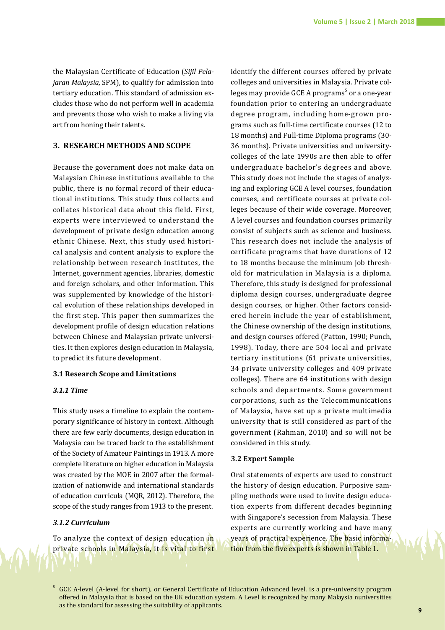the Malaysian Certificate of Education (*Sijil Pelajaran Malaysia*, SPM), to qualify for admission into tertiary education. This standard of admission excludes those who do not perform well in academia and prevents those who wish to make a living via art from honing their talents.

### **3. RESEARCH METHODS AND SCOPE**

Because the government does not make data on Malaysian Chinese institutions available to the public, there is no formal record of their educational institutions. This study thus collects and collates historical data about this field. First, experts were interviewed to understand the development of private design education among ethnic Chinese. Next, this study used historical analysis and content analysis to explore the relationship between research institutes, the Internet, government agencies, libraries, domestic and foreign scholars, and other information. This was supplemented by knowledge of the historical evolution of these relationships developed in the first step. This paper then summarizes the development profile of design education relations between Chinese and Malaysian private universities. It then explores design education in Malaysia, to predict its future development.

### **3.1 Research Scope and Limitations**

#### *3.1.1 Time*

This study uses a timeline to explain the contemporary significance of history in context. Although there are few early documents, design education in Malaysia can be traced back to the establishment of the Society of Amateur Paintings in 1913. A more complete literature on higher education in Malaysia was created by the MOE in 2007 after the formalization of nationwide and international standards of education curricula (MQR, 2012). Therefore, the scope of the study ranges from 1913 to the present.

### *3.1.2 Curriculum*

To analyze the context of design education in private schools in Malaysia, it is vital to first

identify the different courses offered by private colleges and universities in Malaysia. Private colleges may provide GCE A programs<sup>5</sup> or a one-year foundation prior to entering an undergraduate degree program, including home-grown programs such as full-time certificate courses (12 to 18 months) and Full-time Diploma programs (30- 36 months). Private universities and universitycolleges of the late 1990s are then able to offer undergraduate bachelor's degrees and above. This study does not include the stages of analyzing and exploring GCE A level courses, foundation courses, and certificate courses at private colleges because of their wide coverage. Moreover, A level courses and foundation courses primarily consist of subjects such as science and business. This research does not include the analysis of certificate programs that have durations of 12 to 18 months because the minimum job threshold for matriculation in Malaysia is a diploma. Therefore, this study is designed for professional diploma design courses, undergraduate degree design courses, or higher. Other factors considered herein include the year of establishment, the Chinese ownership of the design institutions, and design courses offered (Patton, 1990; Punch, 1998). Today, there are 504 local and private tertiary institutions (61 private universities, 34 private university colleges and 409 private colleges). There are 64 institutions with design schools and departments. Some government corporations, such as the Telecommunications of Malaysia, have set up a private multimedia university that is still considered as part of the government (Rahman, 2010) and so will not be considered in this study.

### **3.2 Expert Sample**

Oral statements of experts are used to construct the history of design education. Purposive sampling methods were used to invite design education experts from different decades beginning with Singapore's secession from Malaysia. These experts are currently working and have many years of practical experience. The basic information from the five experts is shown in Table 1.

<sup>5</sup> GCE A-level (A-level for short), or General Certificate of Education Advanced level, is a pre-university program offered in Malaysia that is based on the UK education system. A Level is recognized by many Malaysia nuniversities as the standard for assessing the suitability of applicants.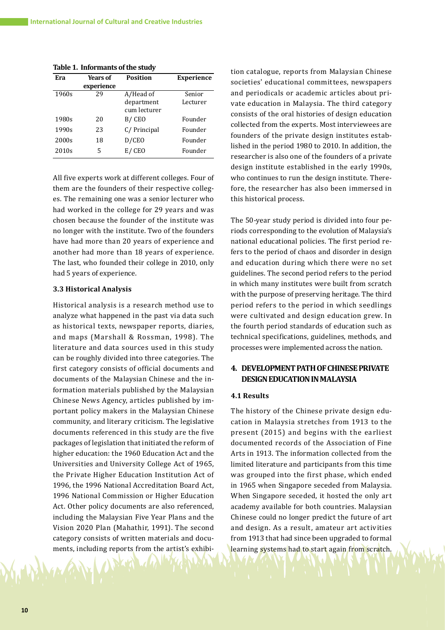**Table 1. Informants of the study**

| Era               | Years of   | <b>Position</b> | <b>Experience</b> |
|-------------------|------------|-----------------|-------------------|
|                   | experience |                 |                   |
| 1960s             | 29         | A/Head of       | Senior            |
|                   |            | department      | Lecturer          |
|                   |            | cum lecturer    |                   |
| 1980s             | 20         | B/CEO           | Founder           |
| 1990s             | 23         | C/Principal     | Founder           |
| 2000s             | 18         | D/CEO           | Founder           |
| 2010 <sub>s</sub> | 5          | E/CEO           | Founder           |

All five experts work at different colleges. Four of them are the founders of their respective colleges. The remaining one was a senior lecturer who had worked in the college for 29 years and was chosen because the founder of the institute was no longer with the institute. Two of the founders have had more than 20 years of experience and another had more than 18 years of experience. The last, who founded their college in 2010, only had 5 years of experience.

### **3.3 Historical Analysis**

Historical analysis is a research method use to analyze what happened in the past via data such as historical texts, newspaper reports, diaries, and maps (Marshall & Rossman, 1998). The literature and data sources used in this study can be roughly divided into three categories. The first category consists of official documents and documents of the Malaysian Chinese and the information materials published by the Malaysian Chinese News Agency, articles published by important policy makers in the Malaysian Chinese community, and literary criticism. The legislative documents referenced in this study are the five packages of legislation that initiated the reform of higher education: the 1960 Education Act and the Universities and University College Act of 1965, the Private Higher Education Institution Act of 1996, the 1996 National Accreditation Board Act, 1996 National Commission or Higher Education Act. Other policy documents are also referenced, including the Malaysian Five Year Plans and the Vision 2020 Plan (Mahathir, 1991). The second category consists of written materials and documents, including reports from the artist's exhibi-

tion catalogue, reports from Malaysian Chinese societies' educational committees, newspapers and periodicals or academic articles about private education in Malaysia. The third category consists of the oral histories of design education collected from the experts. Most interviewees are founders of the private design institutes established in the period 1980 to 2010. In addition, the researcher is also one of the founders of a private design institute established in the early 1990s, who continues to run the design institute. Therefore, the researcher has also been immersed in this historical process.

The 50-year study period is divided into four periods corresponding to the evolution of Malaysia's national educational policies. The first period refers to the period of chaos and disorder in design and education during which there were no set guidelines. The second period refers to the period in which many institutes were built from scratch with the purpose of preserving heritage. The third period refers to the period in which seedlings were cultivated and design education grew. In the fourth period standards of education such as technical specifications, guidelines, methods, and processes were implemented across the nation.

### **4. DEVELOPMENT PATH OF CHINESE PRIVATE DESIGN EDUCATION IN MALAYSIA**

#### **4.1 Results**

The history of the Chinese private design education in Malaysia stretches from 1913 to the present (2015) and begins with the earliest documented records of the Association of Fine Arts in 1913. The information collected from the limited literature and participants from this time was grouped into the first phase, which ended in 1965 when Singapore seceded from Malaysia. When Singapore seceded, it hosted the only art academy available for both countries. Malaysian Chinese could no longer predict the future of art and design. As a result, amateur art activities from 1913 that had since been upgraded to formal learning systems had to start again from scratch.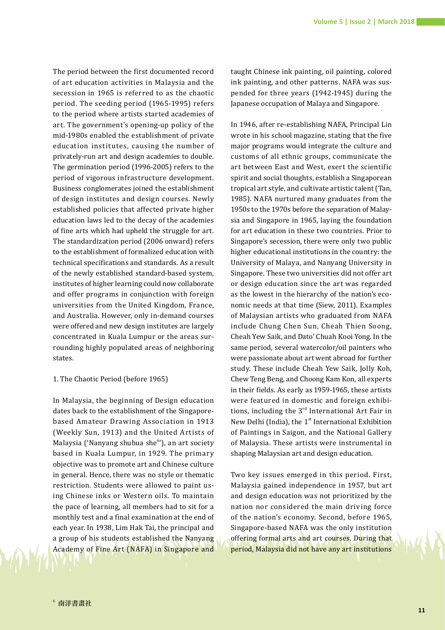The period between the first documented record of art education activities in Malaysia and the secession in 1965 is referred to as the chaotic period. The seeding period (1965-1995) refers to the period where artists started academies of art. The government's opening-up policy of the mid-1980s enabled the establishment of private education institutes, causing the number of privately-run art and design academies to double. The germination period (1996-2005) refers to the period of vigorous infrastructure development. Business conglomerates joined the establishment of design institutes and design courses. Newly established policies that affected private higher education laws led to the decay of the academies of fine arts which had upheld the struggle for art. The standardization period (2006 onward) refers to the establishment of formalized education with technical specifications and standards. As a result of the newly established standard-based system, institutes of higher learning could now collaborate and offer programs in conjunction with foreign universities from the United Kingdom, France, and Australia. However, only in-demand courses were offered and new design institutes are largely concentrated in Kuala Lumpur or the areas surrounding highly populated areas of neighboring states.

#### 1. The Chaotic Period (before 1965)

In Malaysia, the beginning of Design education dates back to the establishment of the Singaporebased Amateur Drawing Association in 1913 (Weekly Sun, 1913) and the United Artists of Malaysia ('Nanyang shuhua she<sup>6</sup>'), an art society based in Kuala Lumpur, in 1929. The primary objective was to promote art and Chinese culture in general. Hence, there was no style or thematic restriction. Students were allowed to paint using Chinese inks or Western oils. To maintain the pace of learning, all members had to sit for a monthly test and a final examination at the end of each year. In 1938, Lim Hak Tai, the principal and a group of his students established the Nanyang Academy of Fine Art (NAFA) in Singapore and taught Chinese ink painting, oil painting, colored ink painting, and other patterns. NAFA was suspended for three years (1942-1945) during the Japanese occupation of Malaya and Singapore.

In 1946, after re-establishing NAFA, Principal Lin wrote in his school magazine, stating that the five major programs would integrate the culture and customs of all ethnic groups, communicate the art between East and West, exert the scientific spirit and social thoughts, establish a Singaporean tropical art style, and cultivate artistic talent (Tan, 1985). NAFA nurtured many graduates from the 1950s to the 1970s before the separation of Malaysia and Singapore in 1965, laying the foundation for art education in these two countries. Prior to Singapore's secession, there were only two public higher educational institutions in the country: the University of Malaya, and Nanyang University in Singapore. These two universities did not offer art or design education since the art was regarded as the lowest in the hierarchy of the nation's economic needs at that time (Siew, 2011). Examples of Malaysian artists who graduated from NAFA include Chung Chen Sun, Cheah Thien Soong, Cheah Yew Saik, and Dato' Chuah Kooi Yong. In the same period, several watercolor/oil painters who were passionate about art went abroad for further study. These include Cheah Yew Saik, Jolly Koh, Chew Teng Beng, and Choong Kam Kon, all experts in their fields. As early as 1959-1965, these artists were featured in domestic and foreign exhibitions, including the  $3<sup>rd</sup>$  International Art Fair in New Delhi (India), the  $1<sup>st</sup>$  International Exhibition of Paintings in Saigon, and the National Gallery of Malaysia. These artists were instrumental in shaping Malaysian art and design education.

Two key issues emerged in this period. First, Malaysia gained independence in 1957, but art and design education was not prioritized by the nation nor considered the main driving force of the nation's economy. Second, before 1965, Singapore-based NAFA was the only institution offering formal arts and art courses. During that period, Malaysia did not have any art institutions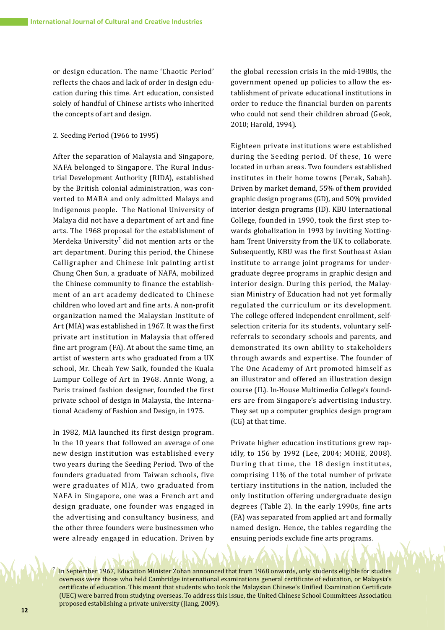or design education. The name 'Chaotic Period' reflects the chaos and lack of order in design education during this time. Art education, consisted solely of handful of Chinese artists who inherited the concepts of art and design.

### 2. Seeding Period (1966 to 1995)

After the separation of Malaysia and Singapore, NAFA belonged to Singapore. The Rural Industrial Development Authority (RIDA), established by the British colonial administration, was converted to MARA and only admitted Malays and indigenous people. The National University of Malaya did not have a department of art and fine arts. The 1968 proposal for the establishment of Merdeka University $\ell$  did not mention arts or the art department. During this period, the Chinese Calligrapher and Chinese ink painting artist Chung Chen Sun, a graduate of NAFA, mobilized the Chinese community to finance the establishment of an art academy dedicated to Chinese children who loved art and fine arts. A non-profit organization named the Malaysian Institute of Art (MIA) was established in 1967. It was the first private art institution in Malaysia that offered fine art program (FA). At about the same time, an artist of western arts who graduated from a UK school, Mr. Cheah Yew Saik, founded the Kuala Lumpur College of Art in 1968. Annie Wong, a Paris trained fashion designer, founded the first private school of design in Malaysia, the International Academy of Fashion and Design, in 1975.

In 1982, MIA launched its first design program. In the 10 years that followed an average of one new design institution was established every two years during the Seeding Period. Two of the founders graduated from Taiwan schools, five were graduates of MIA, two graduated from NAFA in Singapore, one was a French art and design graduate, one founder was engaged in the advertising and consultancy business, and the other three founders were businessmen who were already engaged in education. Driven by the global recession crisis in the mid-1980s, the government opened up policies to allow the establishment of private educational institutions in order to reduce the financial burden on parents who could not send their children abroad (Geok, 2010; Harold, 1994).

Eighteen private institutions were established during the Seeding period. Of these, 16 were located in urban areas. Two founders established institutes in their home towns (Perak, Sabah). Driven by market demand, 55% of them provided graphic design programs (GD), and 50% provided interior design programs (ID). KBU International College, founded in 1990, took the first step towards globalization in 1993 by inviting Nottingham Trent University from the UK to collaborate. Subsequently, KBU was the first Southeast Asian institute to arrange joint programs for undergraduate degree programs in graphic design and interior design. During this period, the Malaysian Ministry of Education had not yet formally regulated the curriculum or its development. The college offered independent enrollment, selfselection criteria for its students, voluntary selfreferrals to secondary schools and parents, and demonstrated its own ability to stakeholders through awards and expertise. The founder of The One Academy of Art promoted himself as an illustrator and offered an illustration design course (IL). In-House Multimedia College's founders are from Singapore's advertising industry. They set up a computer graphics design program (CG) at that time.

Private higher education institutions grew rapidly, to 156 by 1992 (Lee, 2004; MOHE, 2008). During that time, the 18 design institutes, comprising 11% of the total number of private tertiary institutions in the nation, included the only institution offering undergraduate design degrees (Table 2). In the early 1990s, fine arts (FA) was separated from applied art and formally named design. Hence, the tables regarding the ensuing periods exclude fine arts programs.

In September 1967, Education Minister Zohan announced that from 1968 onwards, only students eligible for studies overseas were those who held Cambridge international examinations general certificate of education, or Malaysia's certificate of education. This meant that students who took the Malaysian Chinese's Unified Examination Certificate (UEC) were barred from studying overseas. To address this issue, the United Chinese School Committees Association proposed establishing a private university (Jiang, 2009).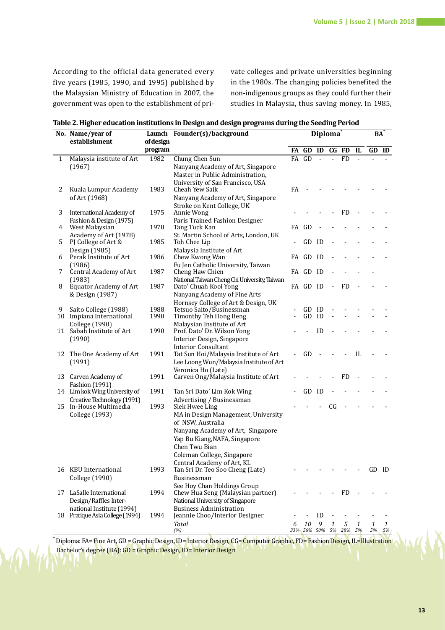According to the official data generated every five years (1985, 1990, and 1995) published by the Malaysian Ministry of Education in 2007, the government was open to the establishment of private colleges and private universities beginning in the 1980s. The changing policies benefited the non-indigenous groups as they could further their studies in Malaysia, thus saving money. In 1985,

| Table 2. Higher education institutions in Design and design programs during the Seeding Period |  |  |
|------------------------------------------------------------------------------------------------|--|--|
|                                                                                                |  |  |

|    | No. Name/year of                                       |           | Launch Founder(s)/background                                     | Diploma <sup>®</sup> |                       | <b>BA</b> |                |           |    |       |    |
|----|--------------------------------------------------------|-----------|------------------------------------------------------------------|----------------------|-----------------------|-----------|----------------|-----------|----|-------|----|
|    | establishment                                          | of design |                                                                  |                      |                       |           |                |           |    |       |    |
|    |                                                        | program   |                                                                  | FA                   | GD ID                 |           |                | CG FD     | IL | GD ID |    |
| 1  | Malaysia institute of Art                              | 1982      | Chung Chen Sun                                                   |                      | $FA$ $GD$             |           | $\overline{a}$ | FD        |    |       |    |
|    | (1967)                                                 |           | Nanyang Academy of Art, Singapore                                |                      |                       |           |                |           |    |       |    |
|    |                                                        |           | Master in Public Administration,                                 |                      |                       |           |                |           |    |       |    |
|    |                                                        |           | University of San Francisco, USA                                 |                      |                       |           |                |           |    |       |    |
| 2  | Kuala Lumpur Academy                                   | 1983      | Cheah Yew Saik                                                   | FA                   |                       |           |                |           |    |       |    |
|    | of Art (1968)                                          |           | Nanyang Academy of Art, Singapore                                |                      |                       |           |                |           |    |       |    |
| 3  | International Academy of                               | 1975      | Stroke on Kent College, UK<br>Annie Wong                         |                      |                       |           |                | <b>FD</b> |    |       |    |
|    | Fashion & Design (1975)                                |           | Paris Trained Fashion Designer                                   |                      |                       |           |                |           |    |       |    |
| 4  | West Malaysian                                         | 1978      | Tang Tuck Kan                                                    |                      | FA GD                 |           |                |           |    |       |    |
|    | Academy of Art (1978)                                  |           | St. Martin School of Arts, London, UK                            |                      |                       |           |                |           |    |       |    |
| 5  | PJ College of Art &                                    | 1985      | Toh Chee Lip                                                     |                      | GD                    | ID        |                |           |    |       |    |
|    | Design (1985)                                          |           | Malaysia Institute of Art                                        |                      |                       |           |                |           |    |       |    |
| 6  | Perak Institute of Art                                 | 1986      | Chew Kwong Wan                                                   |                      | FA GD ID              |           |                |           |    |       |    |
| 7  | (1986)<br>Central Academy of Art                       | 1987      | Fu Jen Catholic University, Taiwan<br>Cheng Haw Chien            |                      | FA GD ID              |           |                |           |    |       |    |
|    | (1983)                                                 |           | National Taiwan Cheng Chi University, Taiwan                     |                      |                       |           |                |           |    |       |    |
| 8  | Equator Academy of Art                                 | 1987      | Dato' Chuah Kooi Yong                                            |                      | FA GD ID              |           | $\overline{a}$ | FD        |    |       |    |
|    | & Design (1987)                                        |           | Nanyang Academy of Fine Arts                                     |                      |                       |           |                |           |    |       |    |
|    |                                                        |           | Hornsey College of Art & Design, UK                              |                      |                       |           |                |           |    |       |    |
| 9  | Saito College (1988)                                   | 1988      | Tetsuo Saito/Businessman                                         |                      | GD                    | ID        |                |           |    |       |    |
| 10 | Impiana International                                  | 1990      | Timonthy Teh Hong Beng                                           |                      | GD                    | ID        |                |           |    |       |    |
|    | College (1990)<br>11 Sabah Institute of Art            | 1990      | Malaysian Institute of Art<br>Prof. Dato' Dr. Wilson Yong        |                      |                       | ID        |                |           |    |       |    |
|    | (1990)                                                 |           | Interior Design, Singapore                                       |                      |                       |           |                |           |    |       |    |
|    |                                                        |           | <b>Interior Consultant</b>                                       |                      |                       |           |                |           |    |       |    |
|    | 12 The One Academy of Art                              | 1991      | Tat Sun Hoi/Malaysia Institute of Art                            |                      | GD                    |           |                |           | IL |       |    |
|    | (1991)                                                 |           | Lee Loong Wun/Malaysia Institute of Art                          |                      |                       |           |                |           |    |       |    |
|    |                                                        |           | Veronica Ho (Late)                                               |                      |                       |           |                |           |    |       |    |
|    | 13 Carven Academy of                                   | 1991      | Carven Ong/Malaysia Institute of Art                             |                      |                       |           |                | <b>FD</b> |    |       |    |
|    | <b>Fashion</b> (1991)<br>14 Lim kok Wing University of | 1991      | Tan Sri Dato' Lim Kok Wing                                       |                      | GD                    | ID        |                |           |    |       |    |
|    | Creative Technology (1991)                             |           | Advertising / Businessman                                        |                      |                       |           |                |           |    |       |    |
|    | 15 In-House Multimedia                                 | 1993      | Siek Hwee Ling                                                   |                      |                       |           | CG             |           |    |       |    |
|    | College (1993)                                         |           | MA in Design Management, University                              |                      |                       |           |                |           |    |       |    |
|    |                                                        |           | of NSW, Australia                                                |                      |                       |           |                |           |    |       |    |
|    |                                                        |           | Nanyang Academy of Art, Singapore                                |                      |                       |           |                |           |    |       |    |
|    |                                                        |           | Yap Bu Kiang, NAFA, Singapore                                    |                      |                       |           |                |           |    |       |    |
|    |                                                        |           | Chen Twu Bian                                                    |                      |                       |           |                |           |    |       |    |
|    |                                                        |           | Coleman College, Singapore                                       |                      |                       |           |                |           |    |       |    |
|    |                                                        |           | Central Academy of Art, KL                                       |                      |                       |           |                |           |    |       |    |
|    | 16 KBU International                                   | 1993      | Tan Sri Dr. Teo Soo Cheng (Late)                                 |                      |                       |           |                |           |    | GD ID |    |
|    | College (1990)                                         |           | Businessman                                                      |                      |                       |           |                |           |    |       |    |
| 17 | LaSalle International                                  | 1994      | See Hoy Chan Holdings Group<br>Chew Hua Seng (Malaysian partner) |                      |                       |           |                | <b>FD</b> |    |       |    |
|    | Design/Raffles Inter-                                  |           | National University of Singapore                                 |                      |                       |           |                |           |    |       |    |
|    | national Institute (1994)                              |           | <b>Business Administration</b>                                   |                      |                       |           |                |           |    |       |    |
|    | 18 Pratique Asia College (1994)                        | 1994      | Jeannie Choo/Interior Designer                                   |                      |                       | ID        |                |           |    |       |    |
|    |                                                        |           | Total                                                            | 6                    | 10                    | 9         | 1              | 5         | 1  | 1     | 1  |
|    |                                                        |           | (%)                                                              |                      | 33% 56% 50% 5% 28% 5% |           |                |           |    | 5%    | 5% |

**\*** Diploma: FA= Fine Art, GD = Graphic Design, ID= Interior Design, CG= Computer Graphic, FD= Fashion Design, IL=Illustration Bachelor's degree (BA): GD = Graphic Design, ID= Interior Design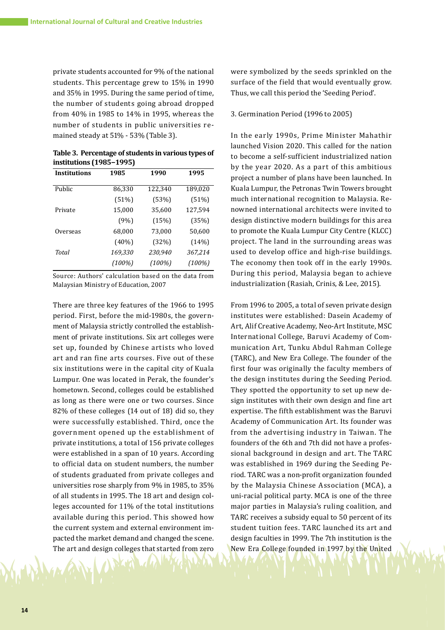private students accounted for 9% of the national students. This percentage grew to 15% in 1990 and 35% in 1995. During the same period of time, the number of students going abroad dropped from 40% in 1985 to 14% in 1995, whereas the number of students in public universities remained steady at 51% - 53% (Table 3).

**Table 3. Percentage of students in various types of institutions (1985−1995)**

| <b>Institutions</b> | 1985     | 1990      | 1995    |
|---------------------|----------|-----------|---------|
| Public              | 86,330   | 122,340   | 189,020 |
|                     | (51%)    | (53%)     | (51%)   |
| Private             | 15,000   | 35,600    | 127,594 |
|                     | (9%)     | (15%)     | (35%)   |
| Overseas            | 68,000   | 73,000    | 50,600  |
|                     | $(40\%)$ | (32%)     | (14%)   |
| Total               | 169,330  | 230,940   | 367,214 |
|                     | (100%)   | $(100\%)$ | (100%)  |

Source: Authors' calculation based on the data from Malaysian Ministry of Education, 2007

There are three key features of the 1966 to 1995 period. First, before the mid-1980s, the government of Malaysia strictly controlled the establishment of private institutions. Six art colleges were set up, founded by Chinese artists who loved art and ran fine arts courses. Five out of these six institutions were in the capital city of Kuala Lumpur. One was located in Perak, the founder's hometown. Second, colleges could be established as long as there were one or two courses. Since 82% of these colleges (14 out of 18) did so, they were successfully established. Third, once the government opened up the establishment of private institutions, a total of 156 private colleges were established in a span of 10 years. According to official data on student numbers, the number of students graduated from private colleges and universities rose sharply from 9% in 1985, to 35% of all students in 1995. The 18 art and design colleges accounted for 11% of the total institutions available during this period. This showed how the current system and external environment impacted the market demand and changed the scene. The art and design colleges that started from zero

were symbolized by the seeds sprinkled on the surface of the field that would eventually grow. Thus, we call this period the 'Seeding Period'.

#### 3. Germination Period (1996 to 2005)

In the early 1990s, Prime Minister Mahathir launched Vision 2020. This called for the nation to become a self-sufficient industrialized nation by the year 2020. As a part of this ambitious project a number of plans have been launched. In Kuala Lumpur, the Petronas Twin Towers brought much international recognition to Malaysia. Renowned international architects were invited to design distinctive modern buildings for this area to promote the Kuala Lumpur City Centre (KLCC) project. The land in the surrounding areas was used to develop office and high-rise buildings. The economy then took off in the early 1990s. During this period, Malaysia began to achieve industrialization (Rasiah, Crinis, & Lee, 2015).

From 1996 to 2005, a total of seven private design institutes were established: Dasein Academy of Art, Alif Creative Academy, Neo-Art Institute, MSC International College, Baruvi Academy of Communication Art, Tunku Abdul Rahman College (TARC), and New Era College. The founder of the first four was originally the faculty members of the design institutes during the Seeding Period. They spotted the opportunity to set up new design institutes with their own design and fine art expertise. The fifth establishment was the Baruvi Academy of Communication Art. Its founder was from the advertising industry in Taiwan. The founders of the 6th and 7th did not have a professional background in design and art. The TARC was established in 1969 during the Seeding Period. TARC was a non-profit organization founded by the Malaysia Chinese Association (MCA), a uni-racial political party. MCA is one of the three major parties in Malaysia's ruling coalition, and TARC receives a subsidy equal to 50 percent of its student tuition fees. TARC launched its art and design faculties in 1999. The 7th institution is the New Era College founded in 1997 by the United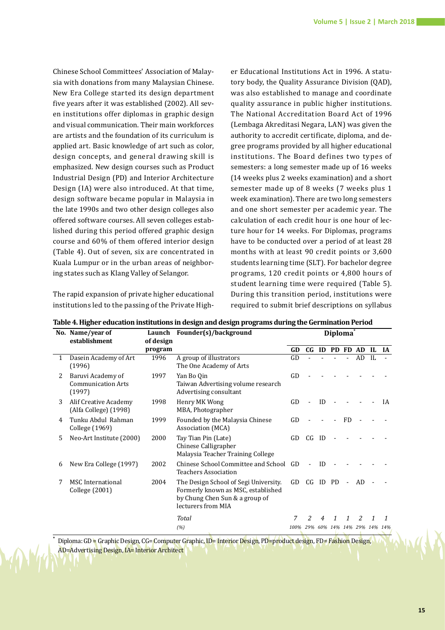Chinese School Committees' Association of Malaysia with donations from many Malaysian Chinese. New Era College started its design department five years after it was established (2002). All seven institutions offer diplomas in graphic design and visual communication. Their main workforces are artists and the foundation of its curriculum is applied art. Basic knowledge of art such as color, design concepts, and general drawing skill is emphasized. New design courses such as Product Industrial Design (PD) and Interior Architecture Design (IA) were also introduced. At that time, design software became popular in Malaysia in the late 1990s and two other design colleges also offered software courses. All seven colleges established during this period offered graphic design course and 60% of them offered interior design (Table 4). Out of seven, six are concentrated in Kuala Lumpur or in the urban areas of neighboring states such as Klang Valley of Selangor.

The rapid expansion of private higher educational institutions led to the passing of the Private Higher Educational Institutions Act in 1996. A statutory body, the Quality Assurance Division (QAD), was also established to manage and coordinate quality assurance in public higher institutions. The National Accreditation Board Act of 1996 (Lembaga Akreditasi Negara, LAN) was given the authority to accredit certificate, diploma, and degree programs provided by all higher educational institutions. The Board defines two types of semesters: a long semester made up of 16 weeks (14 weeks plus 2 weeks examination) and a short semester made up of 8 weeks (7 weeks plus 1 week examination). There are two long semesters and one short semester per academic year. The calculation of each credit hour is one hour of lecture hour for 14 weeks. For Diplomas, programs have to be conducted over a period of at least 28 months with at least 90 credit points or 3,600 students learning time (SLT). For bachelor degree programs, 120 credit points or 4,800 hours of student learning time were required (Table 5). During this transition period, institutions were required to submit brief descriptions on syllabus

|    | No. Name/year of<br>establishment                        | Launch               | Founder(s)/background                                                                                                               | Diploma <sup>®</sup> |                  |    |      |              |                             |    |           |
|----|----------------------------------------------------------|----------------------|-------------------------------------------------------------------------------------------------------------------------------------|----------------------|------------------|----|------|--------------|-----------------------------|----|-----------|
|    |                                                          | of design<br>program |                                                                                                                                     |                      | $C$ <sub>G</sub> | ID |      |              | PD FD AD                    | IL | <b>IA</b> |
|    | Dasein Academy of Art<br>(1996)                          | 1996                 | A group of illustrators<br>The One Academy of Arts                                                                                  | GD                   |                  |    |      |              | AD                          | H. |           |
| 2  | Baruvi Academy of<br><b>Communication Arts</b><br>(1997) | 1997                 | Yan Bo Qin<br>GD<br>Taiwan Advertising volume research<br>Advertising consultant                                                    |                      |                  |    |      |              |                             |    |           |
| 3  | Alif Creative Academy<br>(Alfa College) (1998)           | 1998                 | Henry MK Wong<br>MBA, Photographer                                                                                                  | GD                   |                  | ID |      |              |                             |    | IA        |
| 4  | Tunku Abdul Rahman<br>College (1969)                     | 1999                 | Founded by the Malaysia Chinese<br>Association (MCA)                                                                                |                      |                  |    |      | <b>FD</b>    |                             |    |           |
| 5. | Neo-Art Institute (2000)                                 | 2000                 | Tay Tian Pin (Late)<br>Chinese Calligrapher<br>Malaysia Teacher Training College                                                    | GD                   | CG               | ID |      |              |                             |    |           |
| 6  | New Era College (1997)                                   | 2002                 | Chinese School Committee and School<br><b>Teachers Association</b>                                                                  | GD.                  |                  | ID |      |              |                             |    |           |
| 7  | <b>MSC</b> International<br>College (2001)               | 2004                 | The Design School of Segi University.<br>Formerly known as MSC, established<br>by Chung Chen Sun & a group of<br>lecturers from MIA |                      | C G              | ID | - PD |              | AD                          |    |           |
|    |                                                          |                      | Total                                                                                                                               | 7<br>100%            | 2                | 4  | 1    | $\mathbf{1}$ | $\mathcal{L}$               | 1  |           |
|    |                                                          |                      | (%)                                                                                                                                 |                      |                  |    |      |              | 29% 60% 14% 14% 29% 14% 14% |    |           |

**Table 4. Higher education institutions in design and design programs during the Germination Period**

**\*** Diploma: GD = Graphic Design, CG= Computer Graphic, ID= Interior Design, PD=product design, FD= Fashion Design, AD=Advertising Design, IA= Interior Architect

**15**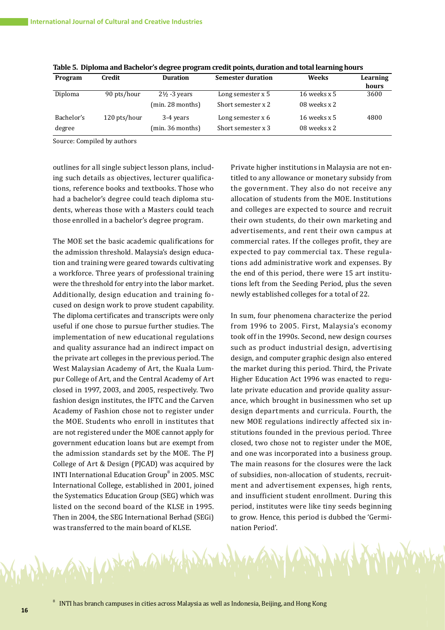| Program    | Credit       | <b>Duration</b>         | <b>Semester duration</b> | Weeks          | Learning<br>hours |
|------------|--------------|-------------------------|--------------------------|----------------|-------------------|
| Diploma    | 90 pts/hour  | $2\frac{1}{2}$ -3 years | Long semester x 5        | 16 weeks $x 5$ | 3600              |
|            |              | (min. 28 months)        | Short semester x 2       | 08 weeks x 2   |                   |
| Bachelor's | 120 pts/hour | 3-4 years               | Long semester $x$ 6      | 16 weeks $x 5$ | 4800              |
| degree     |              | (min. 36 months)        | Short semester x 3       | 08 weeks x 2   |                   |

**Table 5. Diploma and Bachelor's degree program credit points, duration and total learning hours**

Source: Compiled by authors

outlines for all single subject lesson plans, including such details as objectives, lecturer qualifications, reference books and textbooks. Those who had a bachelor's degree could teach diploma students, whereas those with a Masters could teach those enrolled in a bachelor's degree program.

The MOE set the basic academic qualifications for the admission threshold. Malaysia's design education and training were geared towards cultivating a workforce. Three years of professional training were the threshold for entry into the labor market. Additionally, design education and training focused on design work to prove student capability. The diploma certificates and transcripts were only useful if one chose to pursue further studies. The implementation of new educational regulations and quality assurance had an indirect impact on the private art colleges in the previous period. The West Malaysian Academy of Art, the Kuala Lumpur College of Art, and the Central Academy of Art closed in 1997, 2003, and 2005, respectively. Two fashion design institutes, the IFTC and the Carven Academy of Fashion chose not to register under the MOE. Students who enroll in institutes that are not registered under the MOE cannot apply for government education loans but are exempt from the admission standards set by the MOE. The PJ College of Art & Design (PJCAD) was acquired by INTI International Education Group<sup>8</sup> in 2005. MSC International College, established in 2001, joined the Systematics Education Group (SEG) which was listed on the second board of the KLSE in 1995. Then in 2004, the SEG International Berhad (SEGi) was transferred to the main board of KLSE.

Aphin CALLY

Private higher institutions in Malaysia are not entitled to any allowance or monetary subsidy from the government. They also do not receive any allocation of students from the MOE. Institutions and colleges are expected to source and recruit their own students, do their own marketing and advertisements, and rent their own campus at commercial rates. If the colleges profit, they are expected to pay commercial tax. These regulations add administrative work and expenses. By the end of this period, there were 15 art institutions left from the Seeding Period, plus the seven newly established colleges for a total of 22.

In sum, four phenomena characterize the period from 1996 to 2005. First, Malaysia's economy took off in the 1990s. Second, new design courses such as product industrial design, advertising design, and computer graphic design also entered the market during this period. Third, the Private Higher Education Act 1996 was enacted to regulate private education and provide quality assurance, which brought in businessmen who set up design departments and curricula. Fourth, the new MOE regulations indirectly affected six institutions founded in the previous period. Three closed, two chose not to register under the MOE, and one was incorporated into a business group. The main reasons for the closures were the lack of subsidies, non-allocation of students, recruitment and advertisement expenses, high rents, and insufficient student enrollment. During this period, institutes were like tiny seeds beginning to grow. Hence, this period is dubbed the 'Germination Period'.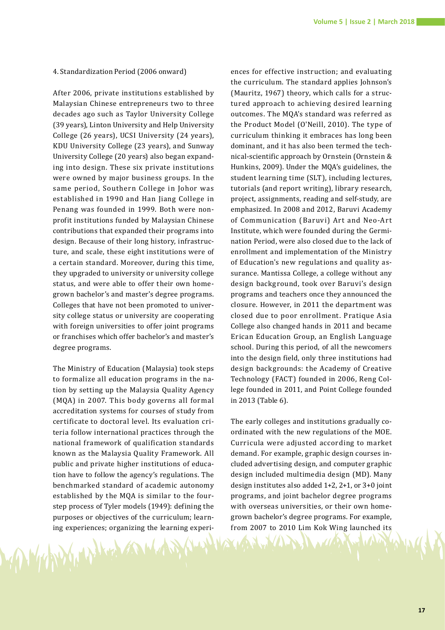### 4. Standardization Period (2006 onward)

After 2006, private institutions established by Malaysian Chinese entrepreneurs two to three decades ago such as Taylor University College (39 years), Linton University and Help University College (26 years), UCSI University (24 years), KDU University College (23 years), and Sunway University College (20 years) also began expanding into design. These six private institutions were owned by major business groups. In the same period, Southern College in Johor was established in 1990 and Han Jiang College in Penang was founded in 1999. Both were nonprofit institutions funded by Malaysian Chinese contributions that expanded their programs into design. Because of their long history, infrastructure, and scale, these eight institutions were of a certain standard. Moreover, during this time, they upgraded to university or university college status, and were able to offer their own homegrown bachelor's and master's degree programs. Colleges that have not been promoted to university college status or university are cooperating with foreign universities to offer joint programs or franchises which offer bachelor's and master's degree programs.

The Ministry of Education (Malaysia) took steps to formalize all education programs in the nation by setting up the Malaysia Quality Agency (MQA) in 2007. This body governs all formal accreditation systems for courses of study from certificate to doctoral level. Its evaluation criteria follow international practices through the national framework of qualification standards known as the Malaysia Quality Framework. All public and private higher institutions of education have to follow the agency's regulations. The benchmarked standard of academic autonomy established by the MQA is similar to the fourstep process of Tyler models (1949): defining the purposes or objectives of the curriculum; learning experiences; organizing the learning experi-

ences for effective instruction; and evaluating the curriculum. The standard applies Johnson's (Mauritz, 1967) theory, which calls for a structured approach to achieving desired learning outcomes. The MQA's standard was referred as the Product Model (O'Neill, 2010). The type of curriculum thinking it embraces has long been dominant, and it has also been termed the technical-scientific approach by Ornstein (Ornstein & Hunkins, 2009). Under the MQA's guidelines, the student learning time (SLT), including lectures, tutorials (and report writing), library research, project, assignments, reading and self-study, are emphasized. In 2008 and 2012, Baruvi Academy of Communication (Baruvi) Art and Neo-Art Institute, which were founded during the Germination Period, were also closed due to the lack of enrollment and implementation of the Ministry of Education's new regulations and quality assurance. Mantissa College, a college without any design background, took over Baruvi's design programs and teachers once they announced the closure. However, in 2011 the department was closed due to poor enrollment. Pratique Asia College also changed hands in 2011 and became Erican Education Group, an English Language school. During this period, of all the newcomers into the design field, only three institutions had design backgrounds: the Academy of Creative Technology (FACT) founded in 2006, Reng College founded in 2011, and Point College founded in 2013 (Table 6).

The early colleges and institutions gradually coordinated with the new regulations of the MOE. Curricula were adjusted according to market demand. For example, graphic design courses included advertising design, and computer graphic design included multimedia design (MD). Many design institutes also added 1+2, 2+1, or 3+0 joint programs, and joint bachelor degree programs with overseas universities, or their own homegrown bachelor's degree programs. For example, from 2007 to 2010 Lim Kok Wing launched its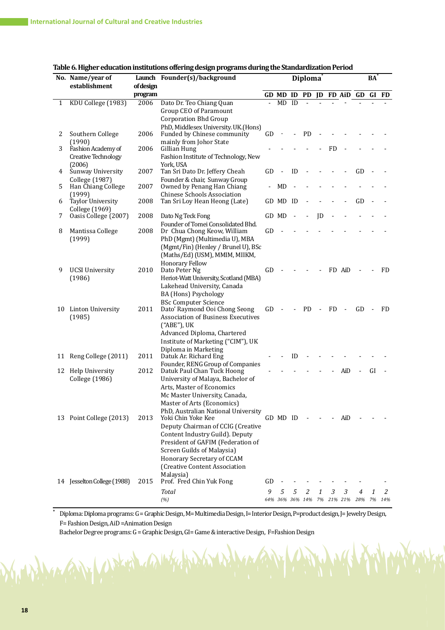|   | No. Name/year of<br>establishment   | <b>of design</b> | Launch Founder(s)/background                                          | <b>Diploma</b> |                 |    |           |        |            | BA                       |     |                |       |
|---|-------------------------------------|------------------|-----------------------------------------------------------------------|----------------|-----------------|----|-----------|--------|------------|--------------------------|-----|----------------|-------|
|   |                                     | program          |                                                                       |                |                 |    |           |        |            | GD MD ID PD JD FD AiD GD |     |                | GI FD |
| 1 | KDU College (1983)                  | 2006             | Dato Dr. Teo Chiang Quan                                              | $\blacksquare$ | <b>MD</b>       | ID |           |        |            |                          |     |                |       |
|   |                                     |                  | Group CEO of Paramount                                                |                |                 |    |           |        |            |                          |     |                |       |
|   |                                     |                  | <b>Corporation Bhd Group</b>                                          |                |                 |    |           |        |            |                          |     |                |       |
| 2 | Southern College                    | 2006             | PhD, Middlesex University. UK.(Hons)<br>Funded by Chinese community   | GD             |                 |    | <b>PD</b> |        |            |                          |     |                |       |
|   | (1990)                              |                  | mainly from Johor State                                               |                |                 |    |           |        |            |                          |     |                |       |
| 3 | Fashion Academy of                  | 2006             | Gillian Hung                                                          |                |                 |    |           |        | <b>FD</b>  |                          |     |                |       |
|   | <b>Creative Technology</b>          |                  | Fashion Institute of Technology, New                                  |                |                 |    |           |        |            |                          |     |                |       |
| 4 | (2006)<br>Sunway University         | 2007             | York, USA<br>Tan Sri Dato Dr. Jeffery Cheah                           | GD             |                 | ID |           |        |            |                          | GD  |                |       |
|   | College (1987)                      |                  | Founder & chair, Sunway Group                                         |                |                 |    |           |        |            |                          |     |                |       |
| 5 | Han Chiang College                  | 2007             | Owned by Penang Han Chiang                                            |                | <b>MD</b>       |    |           |        |            |                          |     |                |       |
|   | (1999)                              |                  | <b>Chinese Schools Association</b>                                    |                |                 |    |           |        |            |                          |     |                |       |
| 6 | Taylor University<br>College (1969) | 2008             | Tan Sri Loy Hean Heong (Late)                                         |                | GD MD           | ID |           |        |            |                          | GD  |                |       |
| 7 | Oasis College (2007)                | 2008             | Dato Ng Teck Fong                                                     |                | GD MD           |    |           | JD     |            |                          |     |                |       |
|   |                                     |                  | Founder of Tomei Consolidated Bhd.                                    |                |                 |    |           |        |            |                          |     |                |       |
| 8 | Mantissa College                    | 2008             | Dr Chua Chong Keow, William                                           | GD             |                 |    |           |        |            |                          |     |                |       |
|   | (1999)                              |                  | PhD (Mgmt) (Multimedia U), MBA                                        |                |                 |    |           |        |            |                          |     |                |       |
|   |                                     |                  | (Mgmt/Fin) (Henley / Brunel U), BSc<br>(Maths/Ed) (USM), MMIM, MIIKM, |                |                 |    |           |        |            |                          |     |                |       |
|   |                                     |                  | Honorary Fellow                                                       |                |                 |    |           |        |            |                          |     |                |       |
| 9 | <b>UCSI University</b>              | 2010             | Dato Peter Ng                                                         | GD             |                 |    |           |        |            | FD AiD                   |     |                | FD    |
|   | (1986)                              |                  | Heriot-Watt University, Scotland (MBA)                                |                |                 |    |           |        |            |                          |     |                |       |
|   |                                     |                  | Lakehead University, Canada                                           |                |                 |    |           |        |            |                          |     |                |       |
|   |                                     |                  | BA (Hons) Psychology<br><b>BSc Computer Science</b>                   |                |                 |    |           |        |            |                          |     |                |       |
|   | 10 Linton University                | 2011             | Dato' Raymond Ooi Chong Seong                                         | GD             |                 |    | <b>PD</b> | $\sim$ | FD         | $\Box$                   | GD  | $\blacksquare$ | FD    |
|   | (1985)                              |                  | <b>Association of Business Executives</b>                             |                |                 |    |           |        |            |                          |     |                |       |
|   |                                     |                  | ("ABE"), UK                                                           |                |                 |    |           |        |            |                          |     |                |       |
|   |                                     |                  | Advanced Diploma, Chartered                                           |                |                 |    |           |        |            |                          |     |                |       |
|   |                                     |                  | Institute of Marketing ("CIM"), UK                                    |                |                 |    |           |        |            |                          |     |                |       |
|   | 11 Reng College (2011)              | 2011             | Diploma in Marketing<br>Datuk Ar. Richard Eng                         |                |                 | ID |           |        |            |                          |     |                |       |
|   |                                     |                  | Founder, RENG Group of Companies                                      |                |                 |    |           |        |            |                          |     |                |       |
|   | 12 Help University                  | 2012             | Datuk Paul Chan Tuck Hoong                                            |                |                 |    |           |        |            | AiD                      |     | GI             |       |
|   | College (1986)                      |                  | University of Malaya, Bachelor of                                     |                |                 |    |           |        |            |                          |     |                |       |
|   |                                     |                  | Arts. Master of Economics<br>Mc Master University, Canada,            |                |                 |    |           |        |            |                          |     |                |       |
|   |                                     |                  | Master of Arts (Economics)                                            |                |                 |    |           |        |            |                          |     |                |       |
|   |                                     |                  | PhD, Australian National University                                   |                |                 |    |           |        |            |                          |     |                |       |
|   | 13 Point College (2013)             | 2013             | Yoki Chin Yoke Kee                                                    |                | GD MD ID        |    |           |        |            | AiD                      |     |                |       |
|   |                                     |                  | Deputy Chairman of CCIG (Creative                                     |                |                 |    |           |        |            |                          |     |                |       |
|   |                                     |                  | Content Industry Guild). Deputy                                       |                |                 |    |           |        |            |                          |     |                |       |
|   |                                     |                  | President of GAFIM (Federation of<br>Screen Guilds of Malaysia)       |                |                 |    |           |        |            |                          |     |                |       |
|   |                                     |                  | Honorary Secretary of CCAM                                            |                |                 |    |           |        |            |                          |     |                |       |
|   |                                     |                  | (Creative Content Association                                         |                |                 |    |           |        |            |                          |     |                |       |
|   |                                     |                  | Malaysia)                                                             |                |                 |    |           |        |            |                          |     |                |       |
|   | 14 Jesselton College (1988)         | 2015             | Prof. Fred Chin Yuk Fong                                              | GD             |                 |    |           |        |            |                          |     |                |       |
|   |                                     |                  | Total                                                                 | 9              | 5               | 5  | 2         | 1      | 3          | 3                        | 4   | 1              | 2     |
|   |                                     |                  | (%)                                                                   |                | 64% 36% 36% 14% |    |           |        | 7% 21% 21% |                          | 28% | 7%             | 14%   |

### **Table 6. Higher education institutions offering design programs during the Standardization Period**

Diploma: Diploma programs: G = Graphic Design, M= Multimedia Design, I= Interior Design, P=product design, J= Jewelry Design, F= Fashion Design, AiD =Animation Design

Bachelor Degree programs: G = Graphic Design, GI= Game & interactive Design, F=Fashion Design

Very

**\***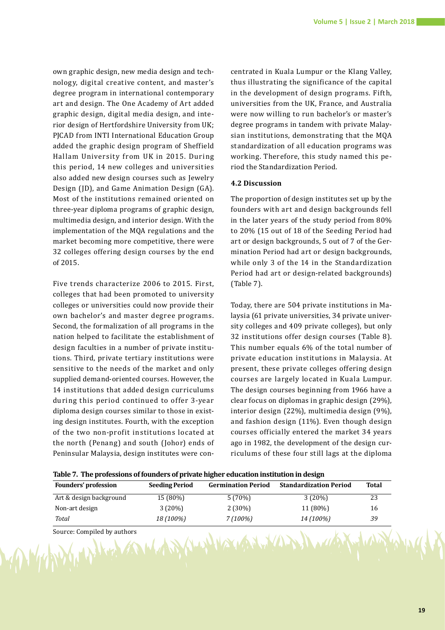own graphic design, new media design and technology, digital creative content, and master's degree program in international contemporary art and design. The One Academy of Art added graphic design, digital media design, and interior design of Hertfordshire University from UK; PJCAD from INTI International Education Group added the graphic design program of Sheffield Hallam University from UK in 2015. During this period, 14 new colleges and universities also added new design courses such as Jewelry Design (JD), and Game Animation Design (GA). Most of the institutions remained oriented on three-year diploma programs of graphic design, multimedia design, and interior design. With the implementation of the MQA regulations and the market becoming more competitive, there were 32 colleges offering design courses by the end of 2015.

Five trends characterize 2006 to 2015. First, colleges that had been promoted to university colleges or universities could now provide their own bachelor's and master degree programs. Second, the formalization of all programs in the nation helped to facilitate the establishment of design faculties in a number of private institutions. Third, private tertiary institutions were sensitive to the needs of the market and only supplied demand-oriented courses. However, the 14 institutions that added design curriculums during this period continued to offer 3-year diploma design courses similar to those in existing design institutes. Fourth, with the exception of the two non-profit institutions located at the north (Penang) and south (Johor) ends of Peninsular Malaysia, design institutes were concentrated in Kuala Lumpur or the Klang Valley, thus illustrating the significance of the capital in the development of design programs. Fifth, universities from the UK, France, and Australia were now willing to run bachelor's or master's degree programs in tandem with private Malaysian institutions, demonstrating that the MQA standardization of all education programs was working. Therefore, this study named this period the Standardization Period.

### **4.2 Discussion**

The proportion of design institutes set up by the founders with art and design backgrounds fell in the later years of the study period from 80% to 20% (15 out of 18 of the Seeding Period had art or design backgrounds, 5 out of 7 of the Germination Period had art or design backgrounds, while only 3 of the 14 in the Standardization Period had art or design-related backgrounds) (Table 7).

Today, there are 504 private institutions in Malaysia (61 private universities, 34 private university colleges and 409 private colleges), but only 32 institutions offer design courses (Table 8). This number equals 6% of the total number of private education institutions in Malaysia. At present, these private colleges offering design courses are largely located in Kuala Lumpur. The design courses beginning from 1966 have a clear focus on diplomas in graphic design (29%), interior design (22%), multimedia design (9%), and fashion design (11%). Even though design courses officially entered the market 34 years ago in 1982, the development of the design curriculums of these four still lags at the diploma

|  | Table 7. The professions of founders of private higher education institution in design |
|--|----------------------------------------------------------------------------------------|
|  |                                                                                        |

| <b>Founders' profession</b> | <b>Seeding Period</b> | <b>Germination Period</b> | <b>Standardization Period</b> | <b>Total</b> |
|-----------------------------|-----------------------|---------------------------|-------------------------------|--------------|
| Art & design background     | 15 (80%)              | 5(70%)                    | 3(20%)                        | 23           |
| Non-art design              | 3(20%)                | $2(30\%)$                 | 11 (80%)                      | 16           |
| Total                       | 18 (100%)             | $7(100\%)$                | 14 (100%)                     | 39           |
| Source: Compiled by authors |                       | NIMANDOWNAMENDRIMA        |                               |              |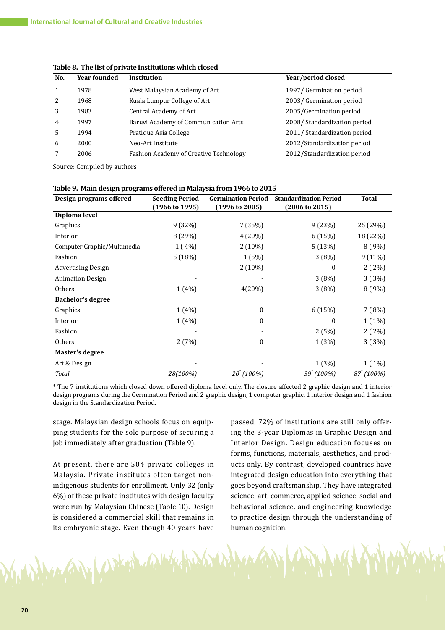| West Malaysian Academy of Art<br>1997/ Germination period<br>1978<br>2003/Germination period<br>1968<br>Kuala Lumpur College of Art<br>3<br>Central Academy of Art<br>2005/Germination period<br>1983<br>2008/Standardization period<br>1997<br>$\overline{4}$<br>Baruvi Academy of Communication Arts<br>2011/ Standardization period<br>1994<br>.5<br>Pratique Asia College<br>2012/Standardization period<br>2000<br>6<br>Neo-Art Institute<br>2012/Standardization period<br>2006<br>Fashion Academy of Creative Technology | No. | <b>Year founded</b> | <b>Institution</b> | Year/period closed |
|---------------------------------------------------------------------------------------------------------------------------------------------------------------------------------------------------------------------------------------------------------------------------------------------------------------------------------------------------------------------------------------------------------------------------------------------------------------------------------------------------------------------------------|-----|---------------------|--------------------|--------------------|
|                                                                                                                                                                                                                                                                                                                                                                                                                                                                                                                                 |     |                     |                    |                    |
|                                                                                                                                                                                                                                                                                                                                                                                                                                                                                                                                 |     |                     |                    |                    |
|                                                                                                                                                                                                                                                                                                                                                                                                                                                                                                                                 |     |                     |                    |                    |
|                                                                                                                                                                                                                                                                                                                                                                                                                                                                                                                                 |     |                     |                    |                    |
|                                                                                                                                                                                                                                                                                                                                                                                                                                                                                                                                 |     |                     |                    |                    |
|                                                                                                                                                                                                                                                                                                                                                                                                                                                                                                                                 |     |                     |                    |                    |
|                                                                                                                                                                                                                                                                                                                                                                                                                                                                                                                                 |     |                     |                    |                    |

**Table 8. The list of private institutions which closed** 

Source: Compiled by authors

| Design programs offered     | <b>Seeding Period</b><br>(1966 to 1995) | <b>Germination Period</b><br>$(1996 \text{ to } 2005)$ | <b>Standardization Period</b><br>$(2006 \text{ to } 2015)$ | <b>Total</b>           |
|-----------------------------|-----------------------------------------|--------------------------------------------------------|------------------------------------------------------------|------------------------|
| Diploma level               |                                         |                                                        |                                                            |                        |
| Graphics                    | 9(32%)                                  | 7(35%)                                                 | 9(23%)                                                     | 25 (29%)               |
| Interior                    | 8 (29%)                                 | 4 (20%)                                                | 6 (15%)                                                    | 18 (22%)               |
| Computer Graphic/Multimedia | $1(4\%)$                                | $2(10\%)$                                              | 5(13%)                                                     | 8(9%)                  |
| Fashion                     | 5(18%)                                  | 1(5%)                                                  | 3(8%)                                                      | 9(11%)                 |
| Advertising Design          |                                         | $2(10\%)$                                              | 0                                                          | $2(2\%)$               |
| <b>Animation Design</b>     |                                         |                                                        | 3(8%)                                                      | 3(3%)                  |
| Others                      | $1(4\%)$                                | 4(20%)                                                 | 3(8%)                                                      | 8(9%)                  |
| <b>Bachelor's degree</b>    |                                         |                                                        |                                                            |                        |
| Graphics                    | $1(4\%)$                                | 0                                                      | 6 (15%)                                                    | 7(8%)                  |
| Interior                    | 1(4%)                                   | $\boldsymbol{0}$                                       | $\mathbf{0}$                                               | $1(1\%)$               |
| Fashion                     |                                         |                                                        | 2(5%)                                                      | $2(2\%)$               |
| <b>Others</b>               | 2(7%)                                   | 0                                                      | 1(3%)                                                      | 3(3%)                  |
| Master's degree             |                                         |                                                        |                                                            |                        |
| Art & Design                |                                         |                                                        | 1(3%)                                                      | $1(1\%)$               |
| Total                       | 28(100%)                                | $20^{\degree}$ (100%)                                  | 39 (100%)                                                  | $87^{\degree} (100\%)$ |

\* The 7 institutions which closed down offered diploma level only. The closure affected 2 graphic design and 1 interior design programs during the Germination Period and 2 graphic design, 1 computer graphic, 1 interior design and 1 fashion design in the Standardization Period.

stage. Malaysian design schools focus on equipping students for the sole purpose of securing a job immediately after graduation (Table 9).

At present, there are 504 private colleges in Malaysia. Private institutes often target nonindigenous students for enrollment. Only 32 (only 6%) of these private institutes with design faculty were run by Malaysian Chinese (Table 10). Design is considered a commercial skill that remains in its embryonic stage. Even though 40 years have

Deright

passed, 72% of institutions are still only offering the 3-year Diplomas in Graphic Design and Interior Design. Design education focuses on forms, functions, materials, aesthetics, and products only. By contrast, developed countries have integrated design education into everything that goes beyond craftsmanship. They have integrated science, art, commerce, applied science, social and behavioral science, and engineering knowledge to practice design through the understanding of human cognition.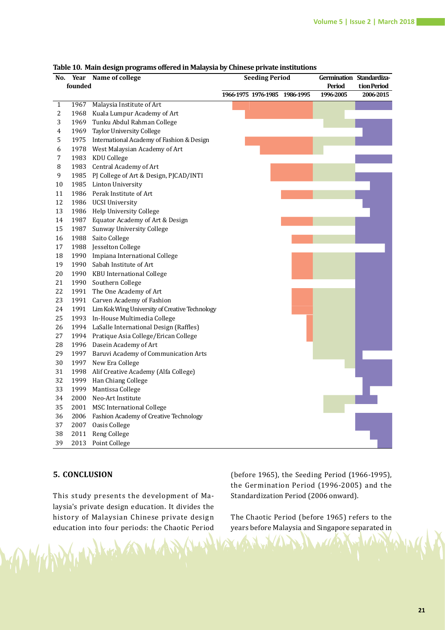| No.            |         | Year Name of college                                | <b>Seeding Period</b> |  |           | Germination Standardiza- |             |
|----------------|---------|-----------------------------------------------------|-----------------------|--|-----------|--------------------------|-------------|
|                | founded |                                                     |                       |  |           | Period                   | tion Period |
|                |         |                                                     | 1966-1975 1976-1985   |  | 1986-1995 | 1996-2005                | 2006-2015   |
| $\mathbf{1}$   | 1967    | Malaysia Institute of Art                           |                       |  |           |                          |             |
| $\overline{c}$ |         | 1968 Kuala Lumpur Academy of Art                    |                       |  |           |                          |             |
| 3              |         | 1969 Tunku Abdul Rahman College                     |                       |  |           |                          |             |
| $\overline{4}$ |         | 1969 Taylor University College                      |                       |  |           |                          |             |
| 5              |         | 1975 International Academy of Fashion & Design      |                       |  |           |                          |             |
| 6              |         | 1978 West Malaysian Academy of Art                  |                       |  |           |                          |             |
| 7              |         | 1983 KDU College                                    |                       |  |           |                          |             |
| 8              |         | 1983 Central Academy of Art                         |                       |  |           |                          |             |
| 9              |         | 1985 PJ College of Art & Design, PJCAD/INTI         |                       |  |           |                          |             |
| 10             |         | 1985 Linton University                              |                       |  |           |                          |             |
| 11             |         | 1986 Perak Institute of Art                         |                       |  |           |                          |             |
| 12             |         | 1986 UCSI University                                |                       |  |           |                          |             |
| 13             |         | 1986 Help University College                        |                       |  |           |                          |             |
| 14             |         | 1987 Equator Academy of Art & Design                |                       |  |           |                          |             |
| 15             |         | 1987 Sunway University College                      |                       |  |           |                          |             |
| 16             |         | 1988 Saito College                                  |                       |  |           |                          |             |
| 17             |         | 1988 Jesselton College                              |                       |  |           |                          |             |
| 18             |         | 1990 Impiana International College                  |                       |  |           |                          |             |
| 19             |         | 1990 Sabah Institute of Art                         |                       |  |           |                          |             |
| 20             |         | 1990 KBU International College                      |                       |  |           |                          |             |
| 21             |         | 1990 Southern College                               |                       |  |           |                          |             |
| 22             |         | 1991 The One Academy of Art                         |                       |  |           |                          |             |
| 23             |         | 1991 Carven Academy of Fashion                      |                       |  |           |                          |             |
| 24             |         | 1991 Lim Kok Wing University of Creative Technology |                       |  |           |                          |             |
| 25             |         | 1993 In-House Multimedia College                    |                       |  |           |                          |             |
| 26             |         | 1994 LaSalle International Design (Raffles)         |                       |  |           |                          |             |
| 27             |         | 1994 Pratique Asia College/Erican College           |                       |  |           |                          |             |
| 28             |         | 1996 Dasein Academy of Art                          |                       |  |           |                          |             |
| 29             |         | 1997 Baruvi Academy of Communication Arts           |                       |  |           |                          |             |
| 30             |         | 1997 New Era College                                |                       |  |           |                          |             |
| 31             |         | 1998 Alif Creative Academy (Alfa College)           |                       |  |           |                          |             |
| 32             |         | 1999 Han Chiang College                             |                       |  |           |                          |             |
| 33             |         | 1999 Mantissa College                               |                       |  |           |                          |             |
| 34             |         | 2000 Neo-Art Institute                              |                       |  |           |                          |             |
| 35             |         | 2001 MSC International College                      |                       |  |           |                          |             |
| 36             |         | 2006 Fashion Academy of Creative Technology         |                       |  |           |                          |             |
| 37             |         | 2007 Oasis College                                  |                       |  |           |                          |             |
| 38             |         | 2011 Reng College                                   |                       |  |           |                          |             |
| 39             | 2013    | Point College                                       |                       |  |           |                          |             |
|                |         |                                                     |                       |  |           |                          |             |

#### **Table 10. Main design programs offered in Malaysia by Chinese private institutions**

### **5. CONCLUSION**

Who who has some

This study presents the development of Malaysia's private design education. It divides the history of Malaysian Chinese private design education into four periods: the Chaotic Period (before 1965), the Seeding Period (1966-1995), the Germination Period (1996-2005) and the Standardization Period (2006 onward).

The Chaotic Period (before 1965) refers to the years before Malaysia and Singapore separated in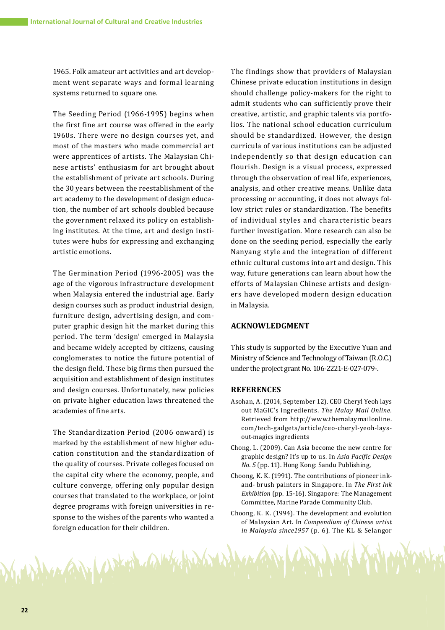1965. Folk amateur art activities and art development went separate ways and formal learning systems returned to square one.

The Seeding Period (1966-1995) begins when the first fine art course was offered in the early 1960s. There were no design courses yet, and most of the masters who made commercial art were apprentices of artists. The Malaysian Chinese artists' enthusiasm for art brought about the establishment of private art schools. During the 30 years between the reestablishment of the art academy to the development of design education, the number of art schools doubled because the government relaxed its policy on establishing institutes. At the time, art and design institutes were hubs for expressing and exchanging artistic emotions.

The Germination Period (1996-2005) was the age of the vigorous infrastructure development when Malaysia entered the industrial age. Early design courses such as product industrial design, furniture design, advertising design, and computer graphic design hit the market during this period. The term 'design' emerged in Malaysia and became widely accepted by citizens, causing conglomerates to notice the future potential of the design field. These big firms then pursued the acquisition and establishment of design institutes and design courses. Unfortunately, new policies on private higher education laws threatened the academies of fine arts.

The Standardization Period (2006 onward) is marked by the establishment of new higher education constitution and the standardization of the quality of courses. Private colleges focused on the capital city where the economy, people, and culture converge, offering only popular design courses that translated to the workplace, or joint degree programs with foreign universities in response to the wishes of the parents who wanted a foreign education for their children.

Margary Worked Company

The findings show that providers of Malaysian Chinese private education institutions in design should challenge policy-makers for the right to admit students who can sufficiently prove their creative, artistic, and graphic talents via portfolios. The national school education curriculum should be standardized. However, the design curricula of various institutions can be adjusted independently so that design education can flourish. Design is a visual process, expressed through the observation of real life, experiences, analysis, and other creative means. Unlike data processing or accounting, it does not always follow strict rules or standardization. The benefits of individual styles and characteristic bears further investigation. More research can also be done on the seeding period, especially the early Nanyang style and the integration of different ethnic cultural customs into art and design. This way, future generations can learn about how the efforts of Malaysian Chinese artists and designers have developed modern design education in Malaysia.

### **ACKNOWLEDGMENT**

This study is supported by the Executive Yuan and Ministry of Science and Technology of Taiwan (R.O.C.) under the project grant No. 106-2221-E-027-079-.

#### **REFERENCES**

- Asohan, A. (2014, September 12). CEO Cheryl Yeoh lays out MaGIC's ingredients. *The Malay Mail Online.* Retrieved from http://www.themalaymailonline. com/tech-gadgets/article/ceo-cheryl-yeoh-laysout-magics ingredients
- Chong, L. (2009). Can Asia become the new centre for graphic design? It's up to us. In *Asia Pacific Design No. 5* (pp. 11). Hong Kong: Sandu Publishing,
- Choong, K. K. (1991). The contributions of pioneer inkand- brush painters in Singapore. In *The First Ink Exhibition* (pp. 15-16). Singapore: The Management Committee, Marine Parade Community Club.
- Choong, K. K. (1994). The development and evolution of Malaysian Art. In *Compendium of Chinese artist in Malaysia since1957* (p. 6). The KL & Selangor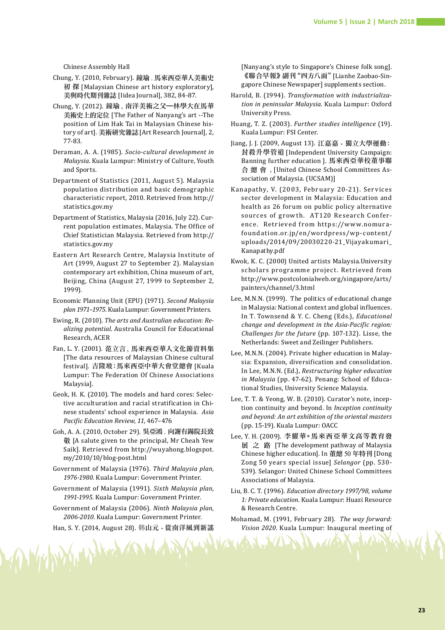Chinese Assembly Hall

- Chung, Y. (2010, February). 鐘瑜 . 馬來西亞華人美術史 初 探 [Malaysian Chinese art history exploratory], 美與時代期刊雜誌 [Iidea Journal], 382, 84-87.
- Chung, Y. (2012). 鐘瑜 , 南洋美術之父—林學大在馬華 美術史上的定位 [The Father of Nanyang's art --The position of Lim Hak Tai in Malaysian Chinese history of art]. 美術研究雜誌[Art Research Journal], 2, 77-83.
- Deraman, A. A. (1985). *Socio-cultural development in Malaysia*. Kuala Lumpur: Ministry of Culture, Youth and Sports.
- Department of Statistics (2011, August 5). Malaysia population distribution and basic demographic characteristic report, 2010. Retrieved from http:// statistics.gov.my
- Department of Statistics, Malaysia (2016, July 22). Current population estimates, Malaysia. The Office of Chief Statistician Malaysia. Retrieved from http:// statistics.gov.my
- Eastern Art Research Centre, Malaysia Institute of Art (1999, August 27 to September 2). Malaysian contemporary art exhibition, China museum of art, Beijing, China (August 27, 1999 to September 2, 1999).
- Economic Planning Unit (EPU) (1971). *Second Malaysia plan 1971–1975*. Kuala Lumpur: Government Printers.
- Ewing, R. (2010). *The arts and Australian education: Realizing potential*. Australia Council for Educational Research, ACER
- Fan, L. Y. (2001). 范立言 , 馬來西亞華人文化節資料集 [The data resources of Malaysian Chinese cultural festival]. 吉隆玻:馬來西亞中華大會堂總會 [Kuala Lumpur: The Federation Of Chinese Associations Malaysia].
- Geok, H. K. (2010). The models and hard cores: Selective acculturation and racial stratification in Chinese students' school experience in Malaysia. *Asia Pacific Education Review, 11*, 467–476
- Goh, A. A. (2010, October 29). 吳亞鴻 . 向謝有錫院長致 敬 [A salute given to the principal, Mr Cheah Yew Saik]. Retrieved from http://wuyahong.blogspot. my/2010/10/blog-post.html
- Government of Malaysia (1976). *Third Malaysia plan, 1976-1980*. Kuala Lumpur: Government Printer.
- Government of Malaysia (1991). *Sixth Malaysia plan, 1991-1995*. Kuala Lumpur: Government Printer.
- Government of Malaysia (2006). *Ninth Malaysia plan, 2006-2010*. Kuala Lumpur: Government Printer.

Han, S. Y. (2014, August 28). 韩山元 - 從南洋風到新謠

WARDY WILL COM

[Nanyang's style to Singapore's Chinese folk song]. 《聯合早報》副刊"四方八面"[Lianhe Zaobao-Singapore Chinese Newspaper] supplements section.

- Harold, B. (1994). *Transformation with industrialization in peninsular Malaysia*. Kuala Lumpur: Oxford University Press.
- Huang, T. Z. (2003). *Further studies intelligence* (19). Kuala Lumpur: FSI Center.
- Jiang, J. J. (2009, August 13). 江嘉嘉 獨立大學運動: 封殺升學管道 [Independent University Campaign: Banning further education ]. 馬來西亞華校董事聯 合 總 會 , [United Chinese School Committees Association of Malaysia. (UCSAM)]
- Kanapathy, V. (2003, February 20-21). Services sector development in Malaysia: Education and health as 26 forum on public policy alternative sources of growth. AT120 Research Conference. Retrieved from https://www.nomurafoundation.or.jp/en/wordpress/wp-content/ uploads/2014/09/20030220-21\_Vijayakumari\_ Kanapathy.pdf
- Kwok, K. C. (2000) United artists Malaysia.University scholars programme project. Retrieved from http://www.postcolonialweb.org/singapore/arts/ painters/channel/3.html
- Lee, M.N.N. (1999). The politics of educational change in Malaysia: National context and global influences. In T. Townsend & Y. C. Cheng (Eds.), *Educational change and development in the Asia-Pacific region: Challenges for the future* (pp. 107-132). Lisse, the Netherlands: Sweet and Zeilinger Publishers.
- Lee, M.N.N. (2004). Private higher education in Malaysia: Expansion, diversification and consolidation. In Lee, M.N.N. (Ed.), *Restructuring higher education in Malaysia* (pp. 47-62). Penang: School of Educational Studies, University Science Malaysia.
- Lee, T. T. & Yeong, W. B. (2010). Curator's note, inception continuity and beyond. In *Inception continuity and beyond: An art exhibition of the oriental masters* (pp. 15-19). Kuala Lumpur: OACC
- Lee, Y. H. (2009). 李耀華。馬來西亞華文高等教育發 展 之 路 [The development pathway of Malaysia Chinese higher education]. In 董總 50 年特刊 [Dong Zong 50 years special issue] *Selangor* (pp. 530- 539). Selangor: United Chinese School Committees Associations of Malaysia.
- Liu, B. C. T. (1996). *Education directory 1997/98, volume 1: Private education*. Kuala Lumpur: Huazi Resource & Research Centre.
- Mohamad, M. (1991, February 28). *The way forward: Vision 2020*. Kuala Lumpur: Inaugural meeting of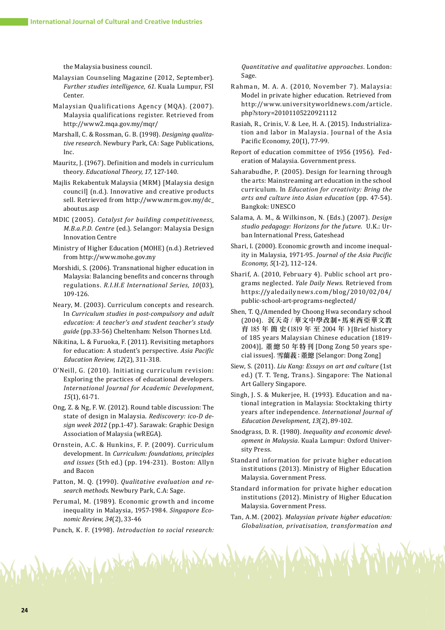the Malaysia business council.

- Malaysian Counseling Magazine (2012, September). *Further studies intelligence, 61*. Kuala Lumpur, FSI Center.
- Malaysian Qualifications Agency (MQA). (2007). Malaysia qualifications register. Retrieved from http://www2.mqa.gov.my/mqr/
- Marshall, C. & Rossman, G. B. (1998). *Designing qualitative research*. Newbury Park, CA: Sage Publications, Inc.
- Mauritz, J. (1967). Definition and models in curriculum theory. *Educational Theory, 17*, 127-140.
- Majlis Rekabentuk Malaysia (MRM) [Malaysia design council] (n.d.). Innovative and creative products sell. Retrieved from http://www.mrm.gov.my/dc\_ aboutus.asp
- MDIC (2005). *Catalyst for building competitiveness, M.B.a.P.D. Centre* (ed.). Selangor: Malaysia Design Innovation Centre
- Ministry of Higher Education (MOHE) (n.d.) .Retrieved from http://www.mohe.gov.my
- Morshidi, S. (2006). Transnational higher education in Malaysia: Balancing benefits and concerns through regulations. *R.I.H.E International Series, 10*(03), 109-126.
- Neary, M. (2003). Curriculum concepts and research. In *Curriculum studies in post-compulsory and adult education: A teacher's and student teacher's study guide* (pp.33-56) Cheltenham: Nelson Thornes Ltd.
- Nikitina, L. & Furuoka, F. (2011). Revisiting metaphors for education: A student's perspective. *Asia Pacific Education Review, 12*(2), 311-318.
- O'Neill, G. (2010). Initiating curriculum revision: Exploring the practices of educational developers. *International Journal for Academic Development, 15*(1), 61-71.
- Ong, Z. & Ng, F. W. (2012). Round table discussion: The state of design in Malaysia. *Rediscovery: ico-D design week 2012* (pp.1-47). Sarawak: Graphic Design Association of Malaysia (wREGA).
- Ornstein, A.C. & Hunkins, F. P. (2009). Curriculum development. In *Curriculum: foundations, principles and issues* (5th ed.) (pp. 194-231). Boston: Allyn and Bacon
- Patton, M. Q. (1990). *Qualitative evaluation and research methods*. Newbury Park, C.A: Sage.
- Perumal, M. (1989). Economic growth and income inequality in Malaysia, 1957-1984. *Singapore Economic Review, 34*(2), 33-46
- Punch, K. F. (1998). *Introduction to social research:*

Margary Worked and Why

*Quantitative and qualitative approaches*. London: Sage.

- Rahman, M. A. A. (2010, November 7). Malaysia: Model in private higher education. Retrieved from http://www.universityworldnews.com/article. php?story=20101105220921112
- Rasiah, R., Crinis, V. & Lee, H. A. (2015). Industrialization and labor in Malaysia. Journal of the Asia Pacific Economy, 20(1), 77-99.
- Report of education committee of 1956 (1956). Federation of Malaysia. Government press.
- Saharabudhe, P. (2005). Design for learning through the arts: Mainstreaming art education in the school curriculum. In *Education for creativity: Bring the arts and culture into Asian education* (pp. 47-54). Bangkok: UNESCO
- Salama, A. M., & Wilkinson, N. (Eds.) (2007). *Design studio pedagogy: Horizons for the future*. U.K.: Urban International Press, Gateshead
- Shari, I. (2000). Economic growth and income inequality in Malaysia, 1971-95. *Journal of the Asia Pacific Economy, 5*(1-2), 112–124.
- Sharif, A. (2010, February 4). Public school art programs neglected. *Yale Daily News*. Retrieved from https://yaledailynews.com/blog/2010/02/04/ public-school-art-programs-neglected/
- Shen, T. Q./Amended by Choong Hwa secondary school (2004). 沉天奇 / 華文中學改制。馬來西亞華文教 育 185 年 簡 史(1819 年 至 2004 年 )[Brief history of 185 years Malaysian Chinese education (1819- 2004)], 董 總 50 年特刊 [Dong Zong 50 years special issues]. 雪蘭莪:董總 [Selangor: Dong Zong]
- Siew, S. (2011). *Liu Kang: Essays on art and culture* (1st ed.) (T. T. Teng, Trans.). Singapore: The National Art Gallery Singapore.
- Singh, J. S. & Mukerjee, H. (1993). Education and national integration in Malaysia: Stocktaking thirty years after independence. *International Journal of Education Development, 13*(2), 89-102.
- Snodgrass, D. R. (1980). *Inequality and economic development in Malaysia*. Kuala Lumpur: Oxford University Press.
- Standard information for private higher education institutions (2013). Ministry of Higher Education Malaysia. Government Press.
- Standard information for private higher education institutions (2012). Ministry of Higher Education Malaysia. Government Press.
- Tan, A.M. (2002). *Malaysian private higher education: Globalisation, privatisation, transformation and*